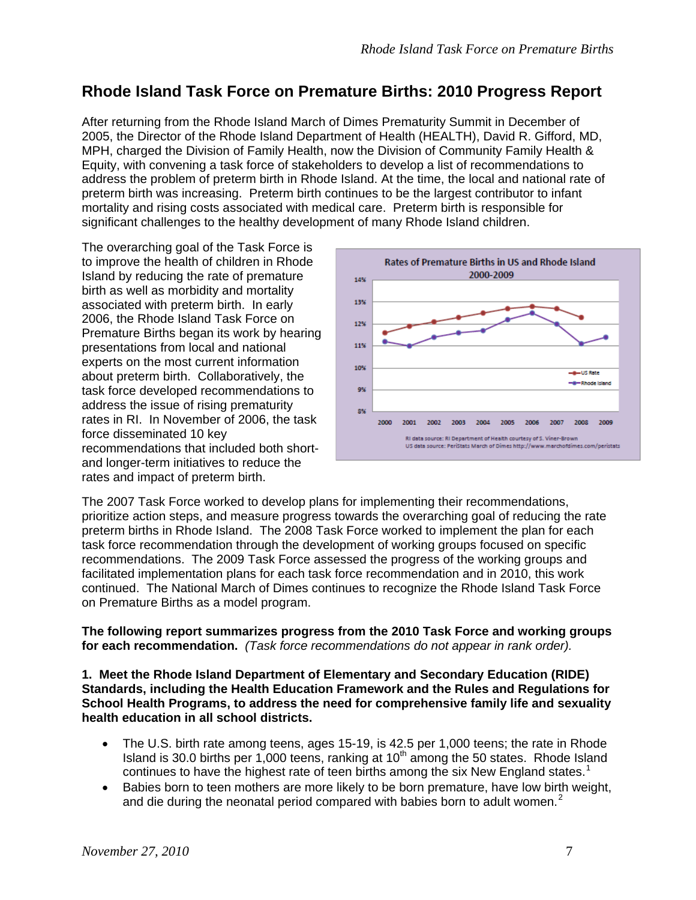# **Rhode Island Task Force on Premature Births: 2010 Progress Report**

After returning from the Rhode Island March of Dimes Prematurity Summit in December of 2005, the Director of the Rhode Island Department of Health (HEALTH), David R. Gifford, MD, MPH, charged the Division of Family Health, now the Division of Community Family Health & Equity, with convening a task force of stakeholders to develop a list of recommendations to address the problem of preterm birth in Rhode Island. At the time, the local and national rate of preterm birth was increasing. Preterm birth continues to be the largest contributor to infant mortality and rising costs associated with medical care. Preterm birth is responsible for significant challenges to the healthy development of many Rhode Island children.

The overarching goal of the Task Force is to improve the health of children in Rhode Island by reducing the rate of premature birth as well as morbidity and mortality associated with preterm birth. In early 2006, the Rhode Island Task Force on Premature Births began its work by hearing presentations from local and national experts on the most current information about preterm birth. Collaboratively, the task force developed recommendations to address the issue of rising prematurity rates in RI. In November of 2006, the task force disseminated 10 key recommendations that included both shortand longer-term initiatives to reduce the rates and impact of preterm birth.



The 2007 Task Force worked to develop plans for implementing their recommendations, prioritize action steps, and measure progress towards the overarching goal of reducing the rate preterm births in Rhode Island. The 2008 Task Force worked to implement the plan for each task force recommendation through the development of working groups focused on specific recommendations. The 2009 Task Force assessed the progress of the working groups and facilitated implementation plans for each task force recommendation and in 2010, this work continued. The National March of Dimes continues to recognize the Rhode Island Task Force on Premature Births as a model program.

**The following report summarizes progress from the 2010 Task Force and working groups for each recommendation.** *(Task force recommendations do not appear in rank order).* 

**1. Meet the Rhode Island Department of Elementary and Secondary Education (RIDE) Standards, including the Health Education Framework and the Rules and Regulations for School Health Programs, to address the need for comprehensive family life and sexuality health education in all school districts.** 

- The U.S. birth rate among teens, ages 15-19, is 42.5 per 1,000 teens; the rate in Rhode Island is 30.0 births per  $1,000$  teens, ranking at  $10<sup>th</sup>$  among the 50 states. Rhode Island continues to have the highest rate of teen births among the six New England states.<sup>[1](#page-9-0)</sup>
- Babies born to teen mothers are more likely to be born premature, have low birth weight, and die during the neonatal period compared with babies born to adult women.<sup>[2](#page-9-1)</sup>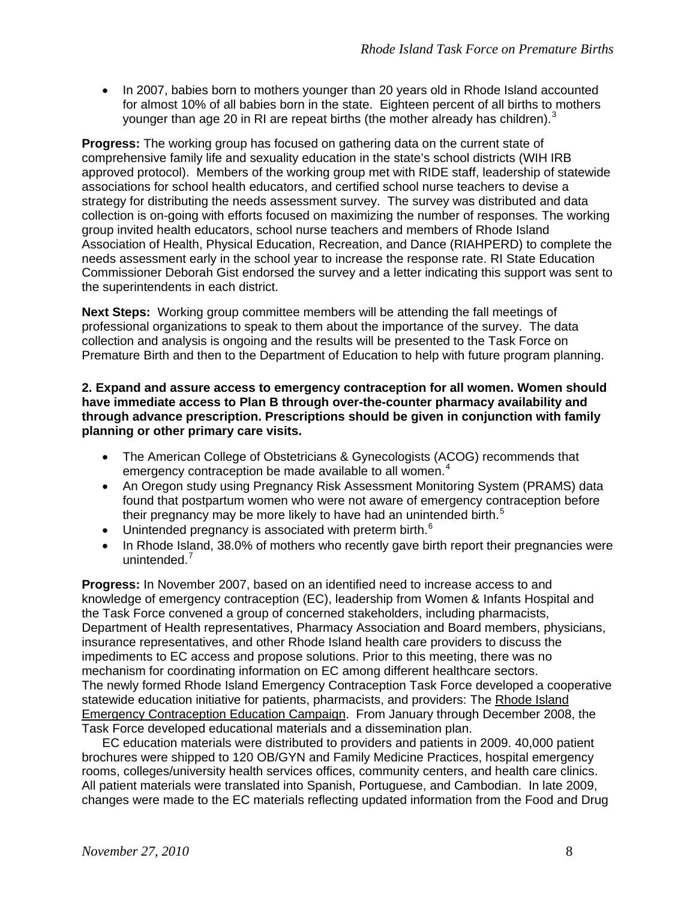• In 2007, babies born to mothers younger than 20 years old in Rhode Island accounted for almost 10% of all babies born in the state. Eighteen percent of all births to mothers younger than age 20 in RI are repeat births (the mother already has children).<sup>[3](#page-9-2)</sup>

**Progress:** The working group has focused on gathering data on the current state of comprehensive family life and sexuality education in the state's school districts (WIH IRB approved protocol). Members of the working group met with RIDE staff, leadership of statewide associations for school health educators, and certified school nurse teachers to devise a strategy for distributing the needs assessment survey. The survey was distributed and data collection is on-going with efforts focused on maximizing the number of responses*.* The working group invited health educators, school nurse teachers and members of Rhode Island Association of Health, Physical Education, Recreation, and Dance (RIAHPERD) to complete the needs assessment early in the school year to increase the response rate. RI State Education Commissioner Deborah Gist endorsed the survey and a letter indicating this support was sent to the superintendents in each district.

**Next Steps:** Working group committee members will be attending the fall meetings of professional organizations to speak to them about the importance of the survey. The data collection and analysis is ongoing and the results will be presented to the Task Force on Premature Birth and then to the Department of Education to help with future program planning.

### **2. Expand and assure access to emergency contraception for all women. Women should have immediate access to Plan B through over-the-counter pharmacy availability and through advance prescription. Prescriptions should be given in conjunction with family planning or other primary care visits.**

- The American College of Obstetricians & Gynecologists (ACOG) recommends that emergency contraception be made available to all women.<sup>[4](#page-9-3)</sup>
- An Oregon study using Pregnancy Risk Assessment Monitoring System (PRAMS) data found that postpartum women who were not aware of emergency contraception before their pregnancy may be more likely to have had an unintended birth.<sup>[5](#page-9-4)</sup>
- Unintended pregnancy is associated with preterm birth. $6\overline{ }$  $6\overline{ }$
- In Rhode Island, 38.0% of mothers who recently gave birth report their pregnancies were unintended.<sup>[7](#page-9-6)</sup>

**Progress:** In November 2007, based on an identified need to increase access to and knowledge of emergency contraception (EC), leadership from Women & Infants Hospital and the Task Force convened a group of concerned stakeholders, including pharmacists, Department of Health representatives, Pharmacy Association and Board members, physicians, insurance representatives, and other Rhode Island health care providers to discuss the impediments to EC access and propose solutions. Prior to this meeting, there was no mechanism for coordinating information on EC among different healthcare sectors. The newly formed Rhode Island Emergency Contraception Task Force developed a cooperative statewide education initiative for patients, pharmacists, and providers: The Rhode Island Emergency Contraception Education Campaign. From January through December 2008, the Task Force developed educational materials and a dissemination plan.

EC education materials were distributed to providers and patients in 2009. 40,000 patient brochures were shipped to 120 OB/GYN and Family Medicine Practices, hospital emergency rooms, colleges/university health services offices, community centers, and health care clinics. All patient materials were translated into Spanish, Portuguese, and Cambodian. In late 2009, changes were made to the EC materials reflecting updated information from the Food and Drug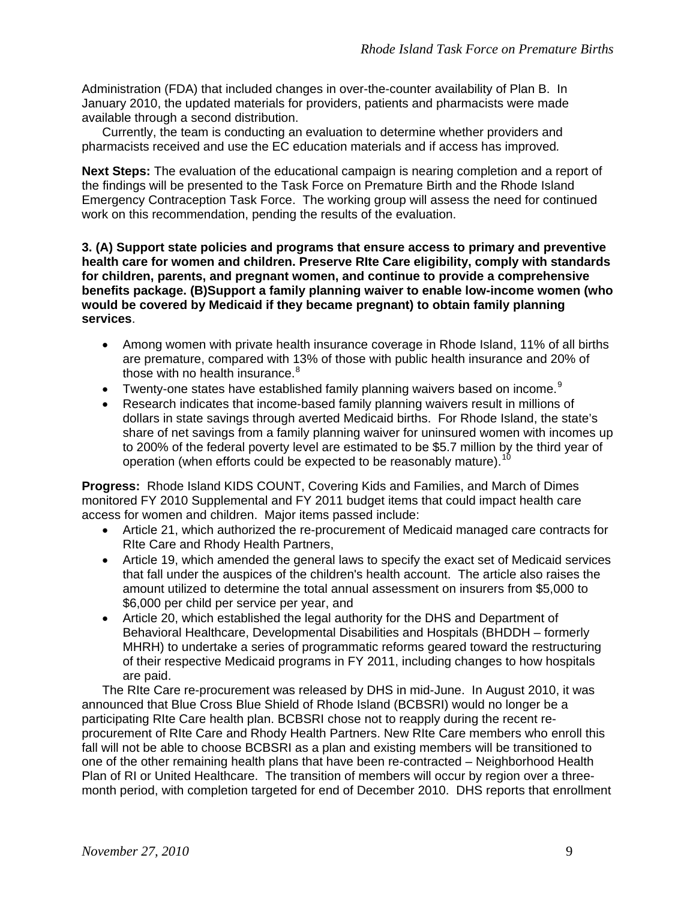Administration (FDA) that included changes in over-the-counter availability of Plan B. In January 2010, the updated materials for providers, patients and pharmacists were made available through a second distribution.

Currently, the team is conducting an evaluation to determine whether providers and pharmacists received and use the EC education materials and if access has improved*.*

**Next Steps:** The evaluation of the educational campaign is nearing completion and a report of the findings will be presented to the Task Force on Premature Birth and the Rhode Island Emergency Contraception Task Force. The working group will assess the need for continued work on this recommendation, pending the results of the evaluation.

**3. (A) Support state policies and programs that ensure access to primary and preventive health care for women and children. Preserve RIte Care eligibility, comply with standards for children, parents, and pregnant women, and continue to provide a comprehensive benefits package. (B)Support a family planning waiver to enable low-income women (who would be covered by Medicaid if they became pregnant) to obtain family planning services**.

- Among women with private health insurance coverage in Rhode Island, 11% of all births are premature, compared with 13% of those with public health insurance and 20% of those with no health insurance.<sup>[8](#page-9-7)</sup>
- Twenty-one states have established family planning waivers based on income.<sup>[9](#page-9-8)</sup>
- Research indicates that income-based family planning waivers result in millions of dollars in state savings through averted Medicaid births. For Rhode Island, the state's share of net savings from a family planning waiver for uninsured women with incomes up to 200% of the federal poverty level are estimated to be \$5.7 million by the third year of operation (when efforts could be expected to be reasonably mature).<sup>10</sup>

**Progress:** Rhode Island KIDS COUNT, Covering Kids and Families, and March of Dimes monitored FY 2010 Supplemental and FY 2011 budget items that could impact health care access for women and children. Major items passed include:

- Article 21, which authorized the re-procurement of Medicaid managed care contracts for RIte Care and Rhody Health Partners,
- Article 19, which amended the general laws to specify the exact set of Medicaid services that fall under the auspices of the children's health account. The article also raises the amount utilized to determine the total annual assessment on insurers from \$5,000 to \$6,000 per child per service per year, and
- Article 20, which established the legal authority for the DHS and Department of Behavioral Healthcare, Developmental Disabilities and Hospitals (BHDDH – formerly MHRH) to undertake a series of programmatic reforms geared toward the restructuring of their respective Medicaid programs in FY 2011, including changes to how hospitals are paid.

The RIte Care re-procurement was released by DHS in mid-June. In August 2010, it was announced that Blue Cross Blue Shield of Rhode Island (BCBSRI) would no longer be a participating RIte Care health plan. BCBSRI chose not to reapply during the recent reprocurement of RIte Care and Rhody Health Partners. New RIte Care members who enroll this fall will not be able to choose BCBSRI as a plan and existing members will be transitioned to one of the other remaining health plans that have been re-contracted – Neighborhood Health Plan of RI or United Healthcare. The transition of members will occur by region over a threemonth period, with completion targeted for end of December 2010. DHS reports that enrollment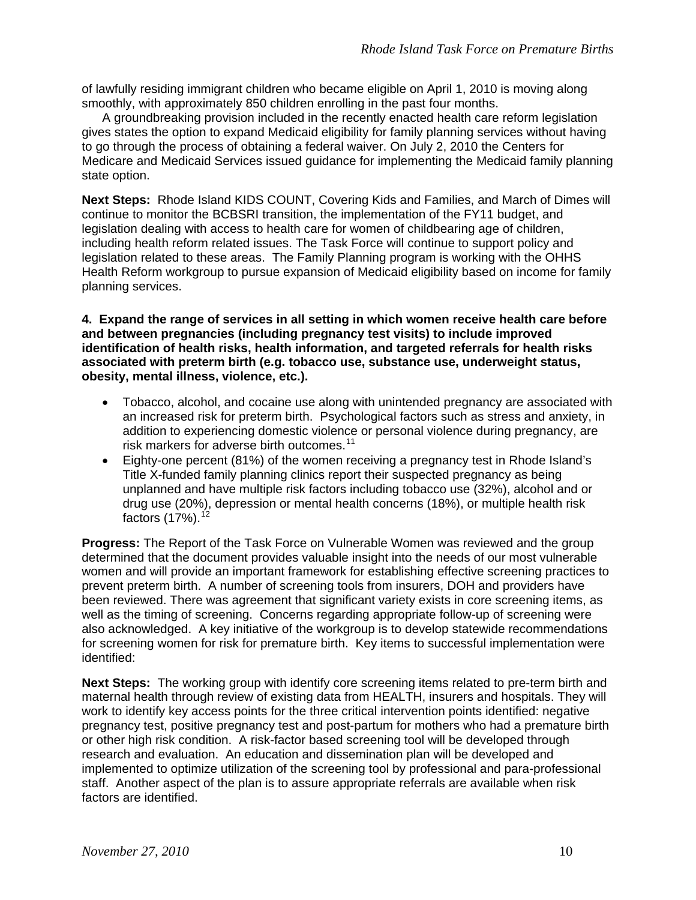of lawfully residing immigrant children who became eligible on April 1, 2010 is moving along smoothly, with approximately 850 children enrolling in the past four months.

A groundbreaking provision included in the recently enacted health care reform legislation gives states the option to expand Medicaid eligibility for family planning services without having to go through the process of obtaining a federal waiver. On July 2, 2010 the Centers for Medicare and Medicaid Services issued guidance for implementing the Medicaid family planning state option.

**Next Steps:** Rhode Island KIDS COUNT, Covering Kids and Families, and March of Dimes will continue to monitor the BCBSRI transition, the implementation of the FY11 budget, and legislation dealing with access to health care for women of childbearing age of children, including health reform related issues. The Task Force will continue to support policy and legislation related to these areas. The Family Planning program is working with the OHHS Health Reform workgroup to pursue expansion of Medicaid eligibility based on income for family planning services.

**4. Expand the range of services in all setting in which women receive health care before and between pregnancies (including pregnancy test visits) to include improved identification of health risks, health information, and targeted referrals for health risks associated with preterm birth (e.g. tobacco use, substance use, underweight status, obesity, mental illness, violence, etc.).**

- Tobacco, alcohol, and cocaine use along with unintended pregnancy are associated with an increased risk for preterm birth. Psychological factors such as stress and anxiety, in addition to experiencing domestic violence or personal violence during pregnancy, are risk markers for adverse birth outcomes.<sup>[11](#page-9-10)</sup>
- Eighty-one percent (81%) of the women receiving a pregnancy test in Rhode Island's Title X-funded family planning clinics report their suspected pregnancy as being unplanned and have multiple risk factors including tobacco use (32%), alcohol and or drug use (20%), depression or mental health concerns (18%), or multiple health risk factors  $(17%)$ .<sup>[12](#page-9-11)</sup>

**Progress:** The Report of the Task Force on Vulnerable Women was reviewed and the group determined that the document provides valuable insight into the needs of our most vulnerable women and will provide an important framework for establishing effective screening practices to prevent preterm birth. A number of screening tools from insurers, DOH and providers have been reviewed. There was agreement that significant variety exists in core screening items, as well as the timing of screening. Concerns regarding appropriate follow-up of screening were also acknowledged. A key initiative of the workgroup is to develop statewide recommendations for screening women for risk for premature birth. Key items to successful implementation were identified:

**Next Steps:** The working group with identify core screening items related to pre-term birth and maternal health through review of existing data from HEALTH, insurers and hospitals. They will work to identify key access points for the three critical intervention points identified: negative pregnancy test, positive pregnancy test and post-partum for mothers who had a premature birth or other high risk condition. A risk-factor based screening tool will be developed through research and evaluation. An education and dissemination plan will be developed and implemented to optimize utilization of the screening tool by professional and para-professional staff. Another aspect of the plan is to assure appropriate referrals are available when risk factors are identified.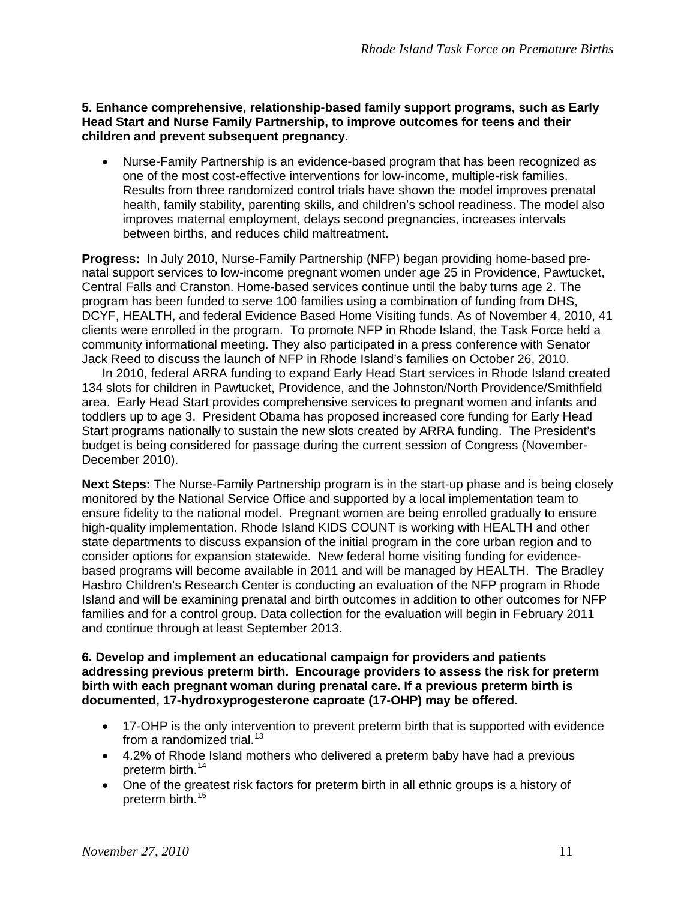**5. Enhance comprehensive, relationship-based family support programs, such as Early Head Start and Nurse Family Partnership, to improve outcomes for teens and their children and prevent subsequent pregnancy.**

• Nurse-Family Partnership is an evidence-based program that has been recognized as one of the most cost-effective interventions for low-income, multiple-risk families. Results from three randomized control trials have shown the model improves prenatal health, family stability, parenting skills, and children's school readiness. The model also improves maternal employment, delays second pregnancies, increases intervals between births, and reduces child maltreatment.

**Progress:** In July 2010, Nurse-Family Partnership (NFP) began providing home-based prenatal support services to low-income pregnant women under age 25 in Providence, Pawtucket, Central Falls and Cranston. Home-based services continue until the baby turns age 2. The program has been funded to serve 100 families using a combination of funding from DHS, DCYF, HEALTH, and federal Evidence Based Home Visiting funds. As of November 4, 2010, 41 clients were enrolled in the program. To promote NFP in Rhode Island, the Task Force held a community informational meeting. They also participated in a press conference with Senator Jack Reed to discuss the launch of NFP in Rhode Island's families on October 26, 2010.

In 2010, federal ARRA funding to expand Early Head Start services in Rhode Island created 134 slots for children in Pawtucket, Providence, and the Johnston/North Providence/Smithfield area. Early Head Start provides comprehensive services to pregnant women and infants and toddlers up to age 3. President Obama has proposed increased core funding for Early Head Start programs nationally to sustain the new slots created by ARRA funding. The President's budget is being considered for passage during the current session of Congress (November-December 2010).

**Next Steps:** The Nurse-Family Partnership program is in the start-up phase and is being closely monitored by the National Service Office and supported by a local implementation team to ensure fidelity to the national model. Pregnant women are being enrolled gradually to ensure high-quality implementation. Rhode Island KIDS COUNT is working with HEALTH and other state departments to discuss expansion of the initial program in the core urban region and to consider options for expansion statewide. New federal home visiting funding for evidencebased programs will become available in 2011 and will be managed by HEALTH. The Bradley Hasbro Children's Research Center is conducting an evaluation of the NFP program in Rhode Island and will be examining prenatal and birth outcomes in addition to other outcomes for NFP families and for a control group. Data collection for the evaluation will begin in February 2011 and continue through at least September 2013.

**6. Develop and implement an educational campaign for providers and patients addressing previous preterm birth. Encourage providers to assess the risk for preterm birth with each pregnant woman during prenatal care. If a previous preterm birth is documented, 17-hydroxyprogesterone caproate (17-OHP) may be offered.**

- 17-OHP is the only intervention to prevent preterm birth that is supported with evidence from a randomized trial. $13$
- 4.2% of Rhode Island mothers who delivered a preterm baby have had a previous preterm birth.<sup>[14](#page-9-13)</sup>
- One of the greatest risk factors for preterm birth in all ethnic groups is a history of preterm birth.<sup>[15](#page-9-14)</sup>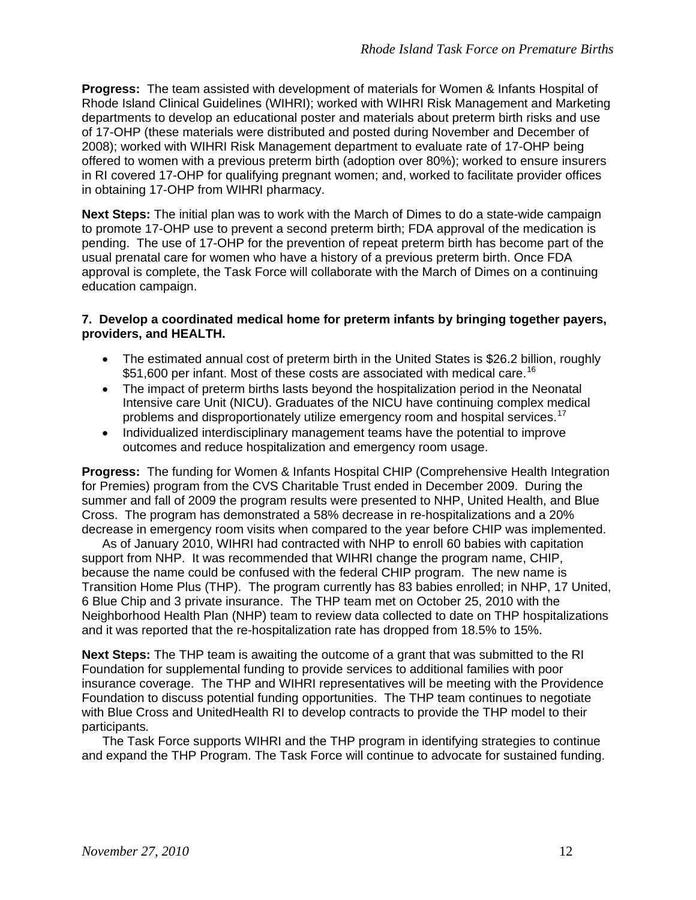**Progress:** The team assisted with development of materials for Women & Infants Hospital of Rhode Island Clinical Guidelines (WIHRI); worked with WIHRI Risk Management and Marketing departments to develop an educational poster and materials about preterm birth risks and use of 17-OHP (these materials were distributed and posted during November and December of 2008); worked with WIHRI Risk Management department to evaluate rate of 17-OHP being offered to women with a previous preterm birth (adoption over 80%); worked to ensure insurers in RI covered 17-OHP for qualifying pregnant women; and, worked to facilitate provider offices in obtaining 17-OHP from WIHRI pharmacy.

**Next Steps:** The initial plan was to work with the March of Dimes to do a state-wide campaign to promote 17-OHP use to prevent a second preterm birth; FDA approval of the medication is pending. The use of 17-OHP for the prevention of repeat preterm birth has become part of the usual prenatal care for women who have a history of a previous preterm birth. Once FDA approval is complete, the Task Force will collaborate with the March of Dimes on a continuing education campaign.

# **7. Develop a coordinated medical home for preterm infants by bringing together payers, providers, and HEALTH.**

- The estimated annual cost of preterm birth in the United States is \$26.2 billion, roughly \$51,600 per infant. Most of these costs are associated with medical care.<sup>[16](#page-9-15)</sup>
- The impact of preterm births lasts beyond the hospitalization period in the Neonatal Intensive care Unit (NICU). Graduates of the NICU have continuing complex medical problems and disproportionately utilize emergency room and hospital services.<sup>[17](#page-9-16)</sup>
- Individualized interdisciplinary management teams have the potential to improve outcomes and reduce hospitalization and emergency room usage.

**Progress:** The funding for Women & Infants Hospital CHIP (Comprehensive Health Integration for Premies) program from the CVS Charitable Trust ended in December 2009. During the summer and fall of 2009 the program results were presented to NHP, United Health, and Blue Cross. The program has demonstrated a 58% decrease in re-hospitalizations and a 20% decrease in emergency room visits when compared to the year before CHIP was implemented.

As of January 2010, WIHRI had contracted with NHP to enroll 60 babies with capitation support from NHP. It was recommended that WIHRI change the program name, CHIP, because the name could be confused with the federal CHIP program. The new name is Transition Home Plus (THP). The program currently has 83 babies enrolled; in NHP, 17 United, 6 Blue Chip and 3 private insurance. The THP team met on October 25, 2010 with the Neighborhood Health Plan (NHP) team to review data collected to date on THP hospitalizations and it was reported that the re-hospitalization rate has dropped from 18.5% to 15%.

**Next Steps:** The THP team is awaiting the outcome of a grant that was submitted to the RI Foundation for supplemental funding to provide services to additional families with poor insurance coverage. The THP and WIHRI representatives will be meeting with the Providence Foundation to discuss potential funding opportunities. The THP team continues to negotiate with Blue Cross and UnitedHealth RI to develop contracts to provide the THP model to their participants*.* 

The Task Force supports WIHRI and the THP program in identifying strategies to continue and expand the THP Program. The Task Force will continue to advocate for sustained funding.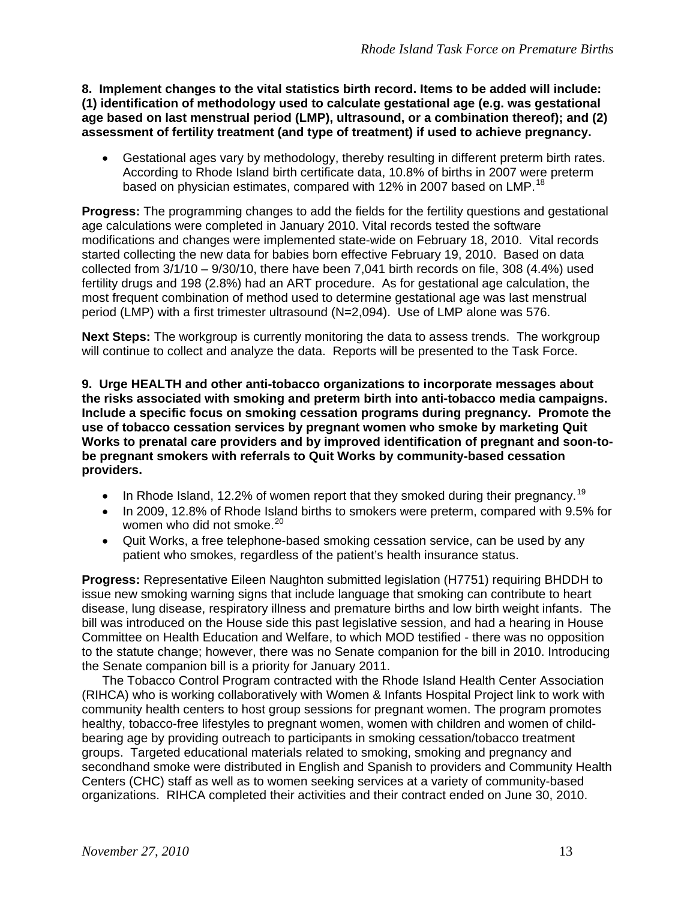**8. Implement changes to the vital statistics birth record. Items to be added will include: (1) identification of methodology used to calculate gestational age (e.g. was gestational age based on last menstrual period (LMP), ultrasound, or a combination thereof); and (2) assessment of fertility treatment (and type of treatment) if used to achieve pregnancy.** 

• Gestational ages vary by methodology, thereby resulting in different preterm birth rates. According to Rhode Island birth certificate data, 10.8% of births in 2007 were preterm based on physician estimates, compared with 12% in 2007 based on LMP.<sup>[18](#page-9-17)</sup>

**Progress:** The programming changes to add the fields for the fertility questions and gestational age calculations were completed in January 2010. Vital records tested the software modifications and changes were implemented state-wide on February 18, 2010. Vital records started collecting the new data for babies born effective February 19, 2010. Based on data collected from 3/1/10 – 9/30/10, there have been 7,041 birth records on file, 308 (4.4%) used fertility drugs and 198 (2.8%) had an ART procedure. As for gestational age calculation, the most frequent combination of method used to determine gestational age was last menstrual period (LMP) with a first trimester ultrasound (N=2,094). Use of LMP alone was 576.

**Next Steps:** The workgroup is currently monitoring the data to assess trends. The workgroup will continue to collect and analyze the data. Reports will be presented to the Task Force.

**9. Urge HEALTH and other anti-tobacco organizations to incorporate messages about the risks associated with smoking and preterm birth into anti-tobacco media campaigns. Include a specific focus on smoking cessation programs during pregnancy. Promote the use of tobacco cessation services by pregnant women who smoke by marketing Quit Works to prenatal care providers and by improved identification of pregnant and soon-tobe pregnant smokers with referrals to Quit Works by community-based cessation providers.**

- In Rhode Island, 12.2% of women report that they smoked during their pregnancy.<sup>[19](#page-9-18)</sup>
- In 2009, 12.8% of Rhode Island births to smokers were preterm, compared with 9.5% for women who did not smoke.<sup>[20](#page-9-19)</sup>
- Quit Works, a free telephone-based smoking cessation service, can be used by any patient who smokes, regardless of the patient's health insurance status.

**Progress:** Representative Eileen Naughton submitted legislation (H7751) requiring BHDDH to issue new smoking warning signs that include language that smoking can contribute to heart disease, lung disease, respiratory illness and premature births and low birth weight infants. The bill was introduced on the House side this past legislative session, and had a hearing in House Committee on Health Education and Welfare, to which MOD testified - there was no opposition to the statute change; however, there was no Senate companion for the bill in 2010. Introducing the Senate companion bill is a priority for January 2011.

The Tobacco Control Program contracted with the Rhode Island Health Center Association (RIHCA) who is working collaboratively with Women & Infants Hospital Project link to work with community health centers to host group sessions for pregnant women. The program promotes healthy, tobacco-free lifestyles to pregnant women, women with children and women of childbearing age by providing outreach to participants in smoking cessation/tobacco treatment groups. Targeted educational materials related to smoking, smoking and pregnancy and secondhand smoke were distributed in English and Spanish to providers and Community Health Centers (CHC) staff as well as to women seeking services at a variety of community-based organizations. RIHCA completed their activities and their contract ended on June 30, 2010.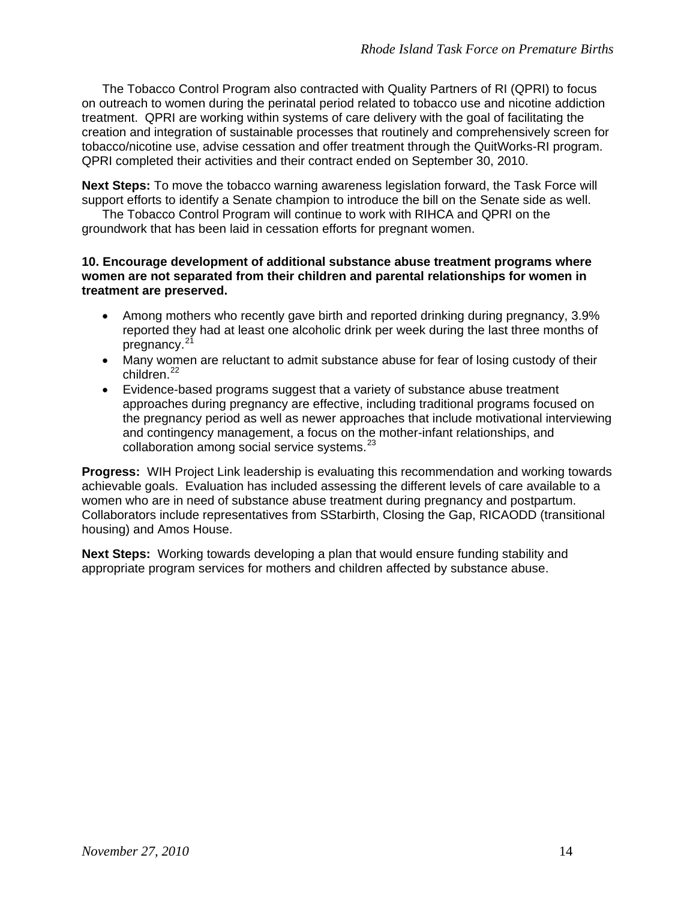The Tobacco Control Program also contracted with Quality Partners of RI (QPRI) to focus on outreach to women during the perinatal period related to tobacco use and nicotine addiction treatment. QPRI are working within systems of care delivery with the goal of facilitating the creation and integration of sustainable processes that routinely and comprehensively screen for tobacco/nicotine use, advise cessation and offer treatment through the QuitWorks-RI program. QPRI completed their activities and their contract ended on September 30, 2010.

**Next Steps:** To move the tobacco warning awareness legislation forward, the Task Force will support efforts to identify a Senate champion to introduce the bill on the Senate side as well.

The Tobacco Control Program will continue to work with RIHCA and QPRI on the groundwork that has been laid in cessation efforts for pregnant women.

### **10. Encourage development of additional substance abuse treatment programs where women are not separated from their children and parental relationships for women in treatment are preserved.**

- Among mothers who recently gave birth and reported drinking during pregnancy, 3.9% reported they had at least one alcoholic drink per week during the last three months of pregnancy.<sup>[21](#page-9-20)</sup>
- Many women are reluctant to admit substance abuse for fear of losing custody of their children.<sup>[22](#page-9-21)</sup>
- Evidence-based programs suggest that a variety of substance abuse treatment approaches during pregnancy are effective, including traditional programs focused on the pregnancy period as well as newer approaches that include motivational interviewing and contingency management, a focus on the mother-infant relationships, and collaboration among social service systems.<sup>[23](#page-9-22)</sup>

**Progress:** WIH Project Link leadership is evaluating this recommendation and working towards achievable goals. Evaluation has included assessing the different levels of care available to a women who are in need of substance abuse treatment during pregnancy and postpartum. Collaborators include representatives from SStarbirth, Closing the Gap, RICAODD (transitional housing) and Amos House.

**Next Steps:** Working towards developing a plan that would ensure funding stability and appropriate program services for mothers and children affected by substance abuse.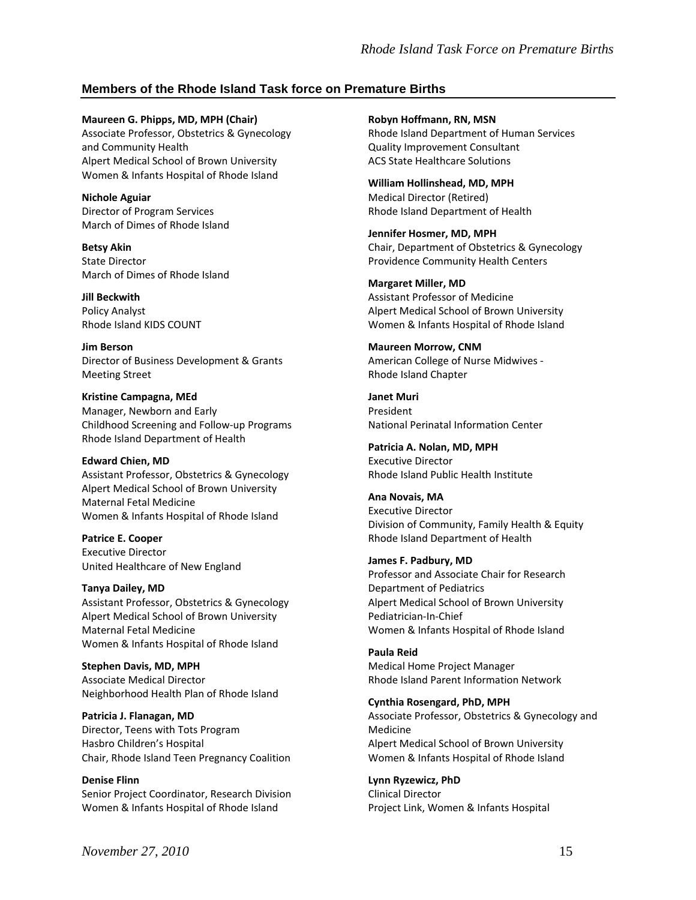# **Members of the Rhode Island Task force on Premature Births**

**Maureen G. Phipps, MD, MPH (Chair)** Associate Professor, Obstetrics & Gynecology and Community Health Alpert Medical School of Brown University Women & Infants Hospital of Rhode Island

**Nichole Aguiar** Director of Program Services March of Dimes of Rhode Island

**Betsy Akin** State Director March of Dimes of Rhode Island

**Jill Beckwith** Policy Analyst Rhode Island KIDS COUNT

**Jim Berson** Director of Business Development & Grants Meeting Street

**Kristine Campagna, MEd** Manager, Newborn and Early Childhood Screening and Follow-up Programs Rhode Island Department of Health

**Edward Chien, MD** Assistant Professor, Obstetrics & Gynecology Alpert Medical School of Brown University Maternal Fetal Medicine Women & Infants Hospital of Rhode Island

**Patrice E. Cooper** Executive Director United Healthcare of New England

**Tanya Dailey, MD** Assistant Professor, Obstetrics & Gynecology Alpert Medical School of Brown University Maternal Fetal Medicine Women & Infants Hospital of Rhode Island

**Stephen Davis, MD, MPH** Associate Medical Director Neighborhood Health Plan of Rhode Island

**Patricia J. Flanagan, MD** Director, Teens with Tots Program Hasbro Children's Hospital Chair, Rhode Island Teen Pregnancy Coalition

**Denise Flinn** Senior Project Coordinator, Research Division Women & Infants Hospital of Rhode Island

**Robyn Hoffmann, RN, MSN** Rhode Island Department of Human Services Quality Improvement Consultant ACS State Healthcare Solutions

**William Hollinshead, MD, MPH** Medical Director (Retired) Rhode Island Department of Health

**Jennifer Hosmer, MD, MPH** Chair, Department of Obstetrics & Gynecology Providence Community Health Centers

**Margaret Miller, MD** Assistant Professor of Medicine Alpert Medical School of Brown University Women & Infants Hospital of Rhode Island

**Maureen Morrow, CNM** American College of Nurse Midwives - Rhode Island Chapter

**Janet Muri** President National Perinatal Information Center

**Patricia A. Nolan, MD, MPH** Executive Director Rhode Island Public Health Institute

**Ana Novais, MA** Executive Director Division of Community, Family Health & Equity Rhode Island Department of Health

**James F. Padbury, MD** Professor and Associate Chair for Research Department of Pediatrics Alpert Medical School of Brown University Pediatrician-In-Chief Women & Infants Hospital of Rhode Island

**Paula Reid** Medical Home Project Manager Rhode Island Parent Information Network

**Cynthia Rosengard, PhD, MPH** Associate Professor, Obstetrics & Gynecology and Medicine Alpert Medical School of Brown University Women & Infants Hospital of Rhode Island

**Lynn Ryzewicz, PhD** Clinical Director Project Link, Women & Infants Hospital